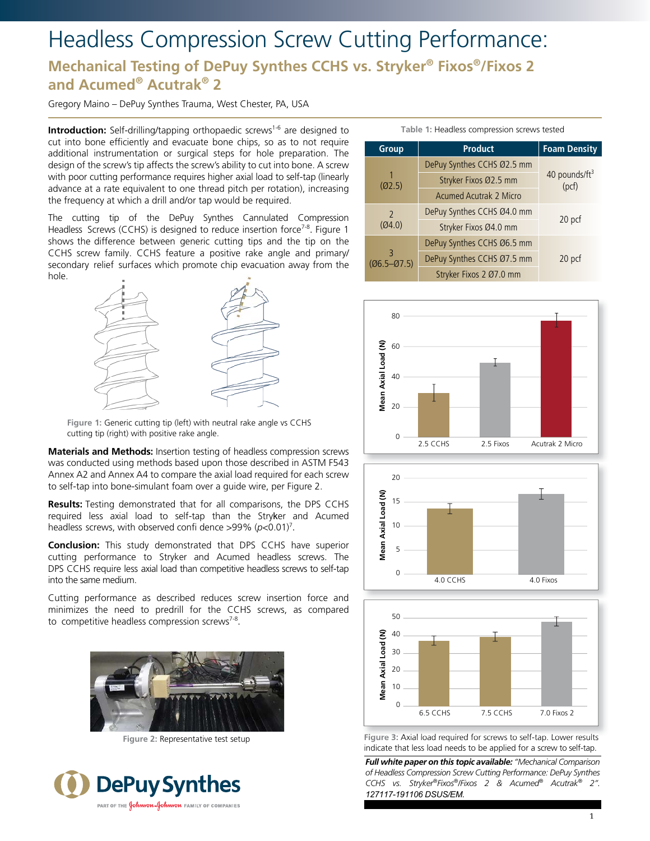## Headless Compression Screw Cutting Performance: **Mechanical Testing of DePuy Synthes CCHS vs. Stryker® Fixos®/Fixos 2 and Acumed® Acutrak® 2**

Gregory Maino – DePuy Synthes Trauma, West Chester, PA, USA

**Introduction:** Self-drilling/tapping orthopaedic screws<sup>1-6</sup> are designed to cut into bone efficiently and evacuate bone chips, so as to not require additional instrumentation or surgical steps for hole preparation. The design of the screw's tip affects the screw's ability to cut into bone. A screw with poor cutting performance requires higher axial load to self-tap (linearly advance at a rate equivalent to one thread pitch per rotation), increasing the frequency at which a drill and/or tap would be required.

The cutting tip of the DePuy Synthes Cannulated Compression Headless Screws (CCHS) is designed to reduce insertion force<sup>7-8</sup>. Figure 1 shows the difference between generic cutting tips and the tip on the CCHS screw family. CCHS feature a positive rake angle and primary/ secondary relief surfaces which promote chip evacuation away from the hole.



**Figure 1:** Generic cutting tip (left) with neutral rake angle vs CCHS cutting tip (right) with positive rake angle.

**Materials and Methods:** Insertion testing of headless compression screws was conducted using methods based upon those described in ASTM F543 Annex A2 and Annex A4 to compare the axial load required for each screw to self-tap into bone-simulant foam over a guide wire, per Figure 2.

**Results:** Testing demonstrated that for all comparisons, the DPS CCHS required less axial load to self-tap than the Stryker and Acumed headless screws, with observed confi dence >99% (*p*<0.01) 7 .

**Conclusion:** This study demonstrated that DPS CCHS have superior cutting performance to Stryker and Acumed headless screws. The DPS CCHS require less axial load than competitive headless screws to self-tap into the same medium.

Cutting performance as described reduces screw insertion force and minimizes the need to predrill for the CCHS screws, as compared to competitive headless compression screws<sup>7-8</sup>.



**Figure 2:** Representative test setup



| Table 1: Headless compression screws tested |                            |                                    |
|---------------------------------------------|----------------------------|------------------------------------|
| <b>Group</b>                                | <b>Product</b>             | <b>Foam Density</b>                |
| (02.5)                                      | DePuy Synthes CCHS Ø2.5 mm | 40 pounds/ft <sup>3</sup><br>(pcf) |
|                                             | Stryker Fixos Ø2.5 mm      |                                    |
|                                             | Acumed Acutrak 2 Micro     |                                    |
| $\mathcal{L}$<br>(04.0)                     | DePuy Synthes CCHS Ø4.0 mm | 20 pcf                             |
|                                             | Stryker Fixos Ø4.0 mm      |                                    |
| 3<br>$(06.5 - 07.5)$                        | DePuy Synthes CCHS Ø6.5 mm | 20 pcf                             |
|                                             | DePuy Synthes CCHS Ø7.5 mm |                                    |
|                                             | Stryker Fixos 2 Ø7.0 mm    |                                    |







**Figure 3:** Axial load required for screws to self-tap. Lower results indicate that less load needs to be applied for a screw to self-tap.

*Full white paper on this topic available: "Mechanical Comparison of Headless Compression Screw Cutting Performance: DePuy Synthes CCHS vs. Stryker® Fixos® /Fixos 2 & Acumed® Acutrak® 2". 127117-191106 DSUS/EM.*